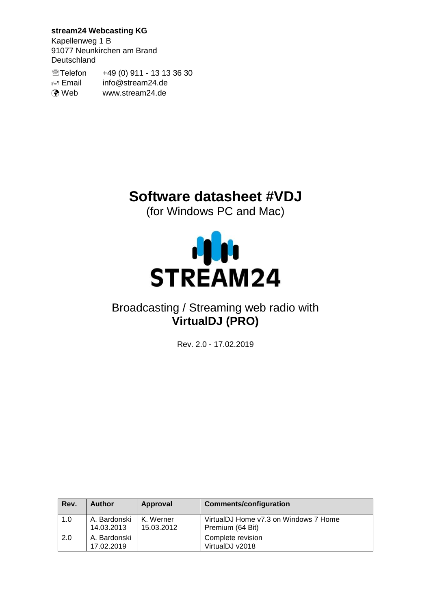**stream24 Webcasting KG**

Kapellenweg 1 B 91077 Neunkirchen am Brand Deutschland

Telefon +49 (0) 911 - 13 13 36 30 Email info@stream24.de **O** Web www.stream24.de

# **Software datasheet #VDJ**

(for Windows PC and Mac)



## Broadcasting / Streaming web radio with **VirtualDJ (PRO)**

Rev. 2.0 - 17.02.2019

| Rev. | Author                     | Approval                | <b>Comments/configuration</b>                             |
|------|----------------------------|-------------------------|-----------------------------------------------------------|
| 1.0  | A. Bardonski<br>14.03.2013 | K. Werner<br>15.03.2012 | VirtualDJ Home v7.3 on Windows 7 Home<br>Premium (64 Bit) |
| 2.0  | A. Bardonski<br>17.02.2019 |                         | Complete revision<br>VirtualDJ v2018                      |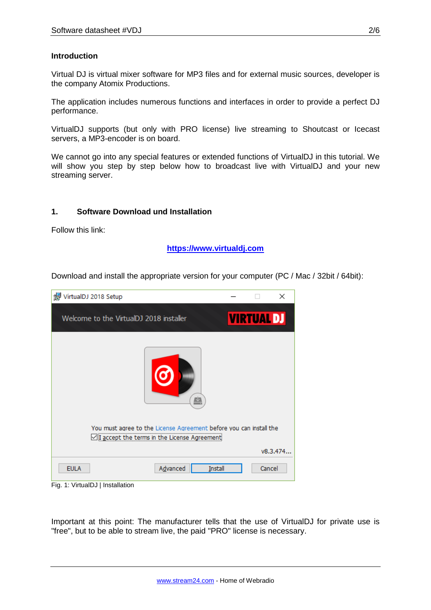#### **Introduction**

Virtual DJ is virtual mixer software for MP3 files and for external music sources, developer is the company Atomix Productions.

The application includes numerous functions and interfaces in order to provide a perfect DJ performance.

VirtualDJ supports (but only with PRO license) live streaming to Shoutcast or Icecast servers, a MP3-encoder is on board.

We cannot go into any special features or extended functions of VirtualDJ in this tutorial. We will show you step by step below how to broadcast live with VirtualDJ and your new streaming server.

#### **1. Software Download und Installation**

Follow this link:

**[https://www.virtualdj.com](https://www.virtualdj.com/)**

Download and install the appropriate version for your computer (PC / Mac / 32bit / 64bit):

| VirtualDJ 2018 Setup                                                                                               |                   | $\times$ |
|--------------------------------------------------------------------------------------------------------------------|-------------------|----------|
| Welcome to the VirtualDJ 2018 installer                                                                            | <b>VIRTUAL DJ</b> |          |
| œ                                                                                                                  |                   |          |
| You must agree to the License Agreement before you can install the<br>I accept the terms in the License Agreementi |                   |          |
|                                                                                                                    |                   | v8.3.474 |
| Advanced<br><b>EULA</b><br><b>Install</b>                                                                          | Cancel            |          |

Fig. 1: VirtualDJ | Installation

Important at this point: The manufacturer tells that the use of VirtualDJ for private use is "free", but to be able to stream live, the paid "PRO" license is necessary.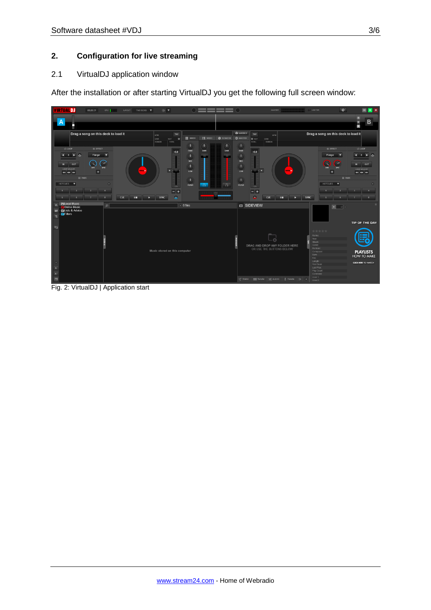### **2. Configuration for live streaming**

#### 2.1 VirtualDJ application window

After the installation or after starting VirtualDJ you get the following full screen window:



Fig. 2: VirtualDJ | Application start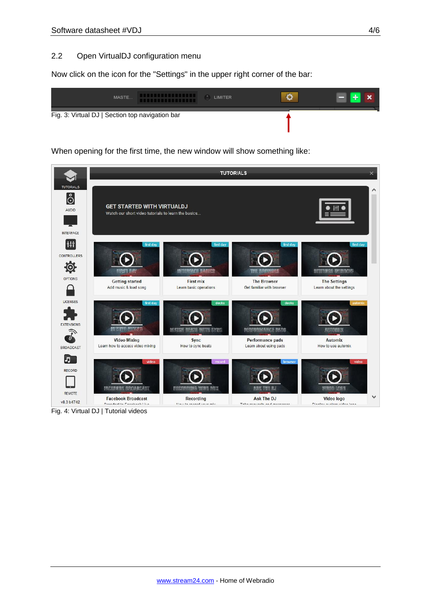#### 2.2 Open VirtualDJ configuration menu

Now click on the icon for the "Settings" in the upper right corner of the bar:



When opening for the first time, the new window will show something like:



Fig. 4: Virtual DJ | Tutorial videos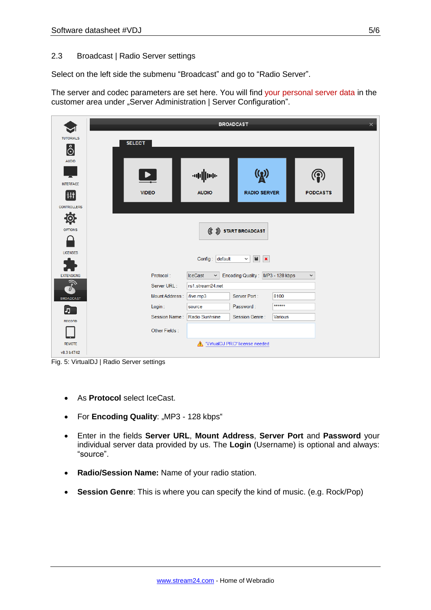### 2.3 Broadcast | Radio Server settings

Select on the left side the submenu "Broadcast" and go to "Radio Server".

The server and codec parameters are set here. You will find your personal server data in the customer area under "Server Administration | Server Configuration".

|                             | <b>BROADCAST</b><br>$\times$    |                                |                                                                       |                |                 |  |
|-----------------------------|---------------------------------|--------------------------------|-----------------------------------------------------------------------|----------------|-----------------|--|
| <b>TUTORIALS</b><br>စြံ     | <b>SELECT</b>                   |                                |                                                                       |                |                 |  |
| <b>AUDIO</b>                |                                 |                                |                                                                       |                |                 |  |
| <b>INTERFACE</b>            | $\blacktriangleright$           | application                    | $\mathbf{\Omega}$                                                     |                |                 |  |
| Ht<br><b>CONTROLLERS</b>    | <b>VIDEO</b>                    | <b>AUDIO</b>                   | <b>RADIO SERVER</b>                                                   |                | <b>PODCASTS</b> |  |
| Ö.<br><b>OPTIONS</b>        |                                 |                                | $(\mathfrak{C})$ start broadcast                                      |                |                 |  |
|                             |                                 |                                |                                                                       |                |                 |  |
| <b>LICENSES</b>             |                                 | Config: default                | $\begin{array}{c c c c c} \hline \textbf{H} & \textbf{K} \end{array}$ |                |                 |  |
| <b>EXTENSIONS</b>           | Protocol:                       | <b>IceCast</b><br>$\checkmark$ | Encoding Quality: MP3 - 128 kbps                                      |                | $\check{~}$     |  |
|                             | Server URL:<br>rs1.stream24.net |                                |                                                                       |                |                 |  |
| <b>BROADCAST</b>            | Mount Address:                  | /live.mp3                      | Server Port:                                                          | 8100           |                 |  |
| 5                           | Login:                          | source                         | Password:                                                             | ******         |                 |  |
| <b>RECORD</b>               | Session Name:                   | Radio Sunhsine                 | Session Genre:                                                        | <b>Various</b> |                 |  |
|                             | Other Fields:                   |                                |                                                                       |                |                 |  |
| <b>REMOTE</b><br>v8.3 b4742 |                                 |                                | VirtualDJ PRO' license needed                                         |                |                 |  |

Fig. 5: VirtualDJ | Radio Server settings

- As **Protocol** select IceCast.
- For **Encoding Quality:** "MP3 128 kbps"
- Enter in the fields **Server URL**, **Mount Address**, **Server Port** and **Password** your individual server data provided by us. The **Login** (Username) is optional and always: "source".
- **Radio/Session Name:** Name of your radio station.
- **Session Genre**: This is where you can specify the kind of music. (e.g. Rock/Pop)